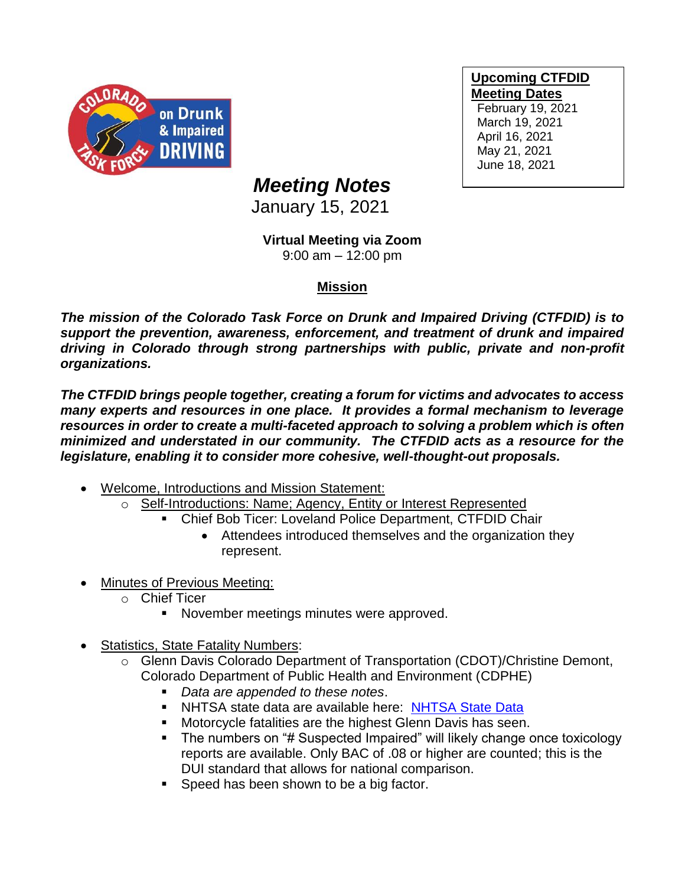

**Upcoming CTFDID Meeting Dates** February 19, 2021 March 19, 2021 April 16, 2021

May 21, 2021 June 18, 2021

## *Meeting Notes*

January 15, 2021

## **Virtual Meeting via Zoom**

9:00 am – 12:00 pm

## **Mission**

*The mission of the Colorado Task Force on Drunk and Impaired Driving (CTFDID) is to support the prevention, awareness, enforcement, and treatment of drunk and impaired driving in Colorado through strong partnerships with public, private and non-profit organizations.* 

*The CTFDID brings people together, creating a forum for victims and advocates to access many experts and resources in one place. It provides a formal mechanism to leverage resources in order to create a multi-faceted approach to solving a problem which is often minimized and understated in our community. The CTFDID acts as a resource for the legislature, enabling it to consider more cohesive, well-thought-out proposals.* 

- Welcome, Introductions and Mission Statement:
	- o Self-Introductions: Name; Agency, Entity or Interest Represented
		- Chief Bob Ticer: Loveland Police Department, CTFDID Chair
			- Attendees introduced themselves and the organization they represent.
- **Minutes of Previous Meeting:** 
	- o Chief Ticer
		- November meetings minutes were approved.
- Statistics, State Fatality Numbers:
	- o Glenn Davis Colorado Department of Transportation (CDOT)/Christine Demont, Colorado Department of Public Health and Environment (CDPHE)
		- *Data are appended to these notes*.
		- **E** NHTSA state data are available here: [NHTSA State Data](https://cdan.nhtsa.gov/stsi.htm)
		- Motorcycle fatalities are the highest Glenn Davis has seen.
		- The numbers on "# Suspected Impaired" will likely change once toxicology reports are available. Only BAC of .08 or higher are counted; this is the DUI standard that allows for national comparison.
		- Speed has been shown to be a big factor.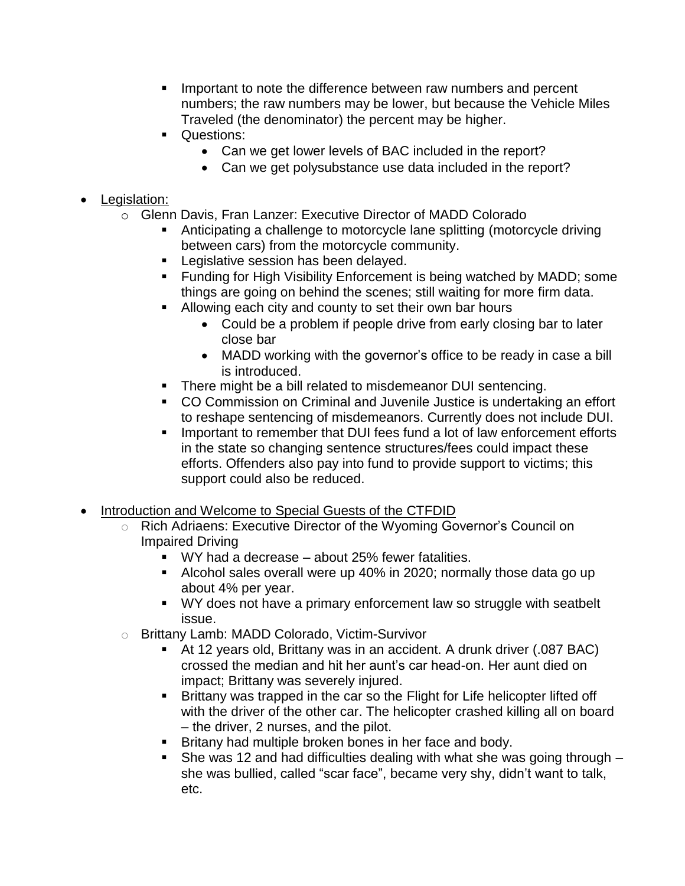- Important to note the difference between raw numbers and percent numbers; the raw numbers may be lower, but because the Vehicle Miles Traveled (the denominator) the percent may be higher.
- Questions:
	- Can we get lower levels of BAC included in the report?
	- Can we get polysubstance use data included in the report?

## • Legislation:

- o Glenn Davis, Fran Lanzer: Executive Director of MADD Colorado
	- Anticipating a challenge to motorcycle lane splitting (motorcycle driving between cars) from the motorcycle community.
	- **EXEC** Legislative session has been delayed.
	- Funding for High Visibility Enforcement is being watched by MADD; some things are going on behind the scenes; still waiting for more firm data.
	- Allowing each city and county to set their own bar hours
		- Could be a problem if people drive from early closing bar to later close bar
		- MADD working with the governor's office to be ready in case a bill is introduced.
	- There might be a bill related to misdemeanor DUI sentencing.
	- CO Commission on Criminal and Juvenile Justice is undertaking an effort to reshape sentencing of misdemeanors. Currently does not include DUI.
	- Important to remember that DUI fees fund a lot of law enforcement efforts in the state so changing sentence structures/fees could impact these efforts. Offenders also pay into fund to provide support to victims; this support could also be reduced.
- Introduction and Welcome to Special Guests of the CTFDID
	- o Rich Adriaens: Executive Director of the Wyoming Governor's Council on Impaired Driving
		- WY had a decrease about 25% fewer fatalities.
		- Alcohol sales overall were up 40% in 2020; normally those data go up about 4% per year.
		- WY does not have a primary enforcement law so struggle with seatbelt issue.
	- o Brittany Lamb: MADD Colorado, Victim-Survivor
		- At 12 years old, Brittany was in an accident. A drunk driver (.087 BAC) crossed the median and hit her aunt's car head-on. Her aunt died on impact; Brittany was severely injured.
		- Brittany was trapped in the car so the Flight for Life helicopter lifted off with the driver of the other car. The helicopter crashed killing all on board – the driver, 2 nurses, and the pilot.
		- Britany had multiple broken bones in her face and body.
		- **EXECT** She was 12 and had difficulties dealing with what she was going through  $$ she was bullied, called "scar face", became very shy, didn't want to talk, etc.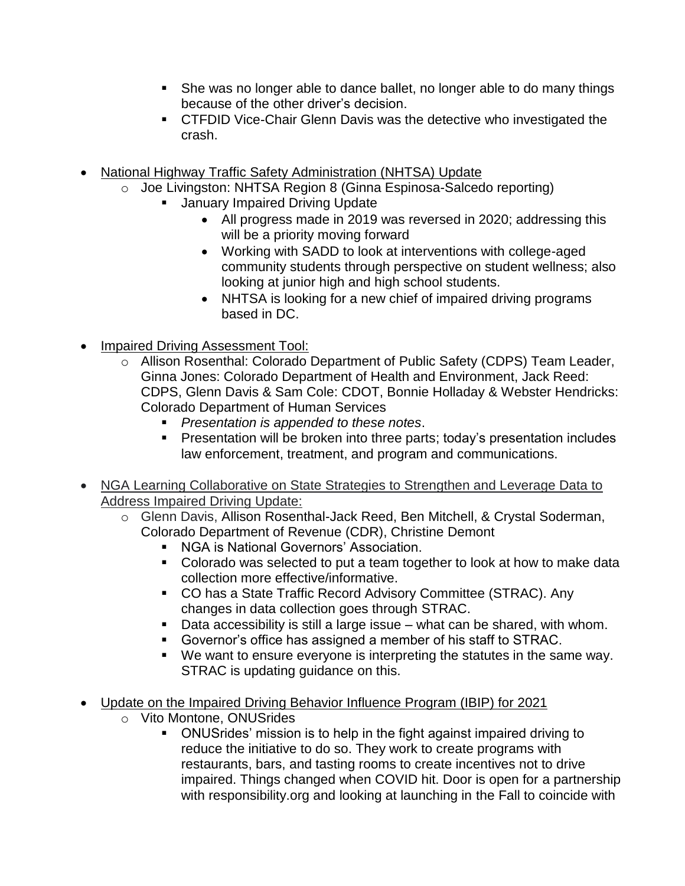- She was no longer able to dance ballet, no longer able to do many things because of the other driver's decision.
- CTFDID Vice-Chair Glenn Davis was the detective who investigated the crash.
- National Highway Traffic Safety Administration (NHTSA) Update
	- o Joe Livingston: NHTSA Region 8 (Ginna Espinosa-Salcedo reporting)
		- **January Impaired Driving Update** 
			- All progress made in 2019 was reversed in 2020; addressing this will be a priority moving forward
			- Working with SADD to look at interventions with college-aged community students through perspective on student wellness; also looking at junior high and high school students.
			- NHTSA is looking for a new chief of impaired driving programs based in DC.
- Impaired Driving Assessment Tool:
	- o Allison Rosenthal: Colorado Department of Public Safety (CDPS) Team Leader, Ginna Jones: Colorado Department of Health and Environment, Jack Reed: CDPS, Glenn Davis & Sam Cole: CDOT, Bonnie Holladay & Webster Hendricks: Colorado Department of Human Services
		- *Presentation is appended to these notes*.
		- **•** Presentation will be broken into three parts; today's presentation includes law enforcement, treatment, and program and communications.
- NGA Learning Collaborative on State Strategies to Strengthen and Leverage Data to Address Impaired Driving Update:
	- o Glenn Davis, Allison Rosenthal-Jack Reed, Ben Mitchell, & Crystal Soderman, Colorado Department of Revenue (CDR), Christine Demont
		- NGA is National Governors' Association.
		- Colorado was selected to put a team together to look at how to make data collection more effective/informative.
		- CO has a State Traffic Record Advisory Committee (STRAC). Any changes in data collection goes through STRAC.
		- Data accessibility is still a large issue what can be shared, with whom.
		- Governor's office has assigned a member of his staff to STRAC.
		- We want to ensure everyone is interpreting the statutes in the same way. STRAC is updating guidance on this.
- Update on the Impaired Driving Behavior Influence Program (IBIP) for 2021
	- o Vito Montone, ONUSrides
		- ONUSrides' mission is to help in the fight against impaired driving to reduce the initiative to do so. They work to create programs with restaurants, bars, and tasting rooms to create incentives not to drive impaired. Things changed when COVID hit. Door is open for a partnership with responsibility.org and looking at launching in the Fall to coincide with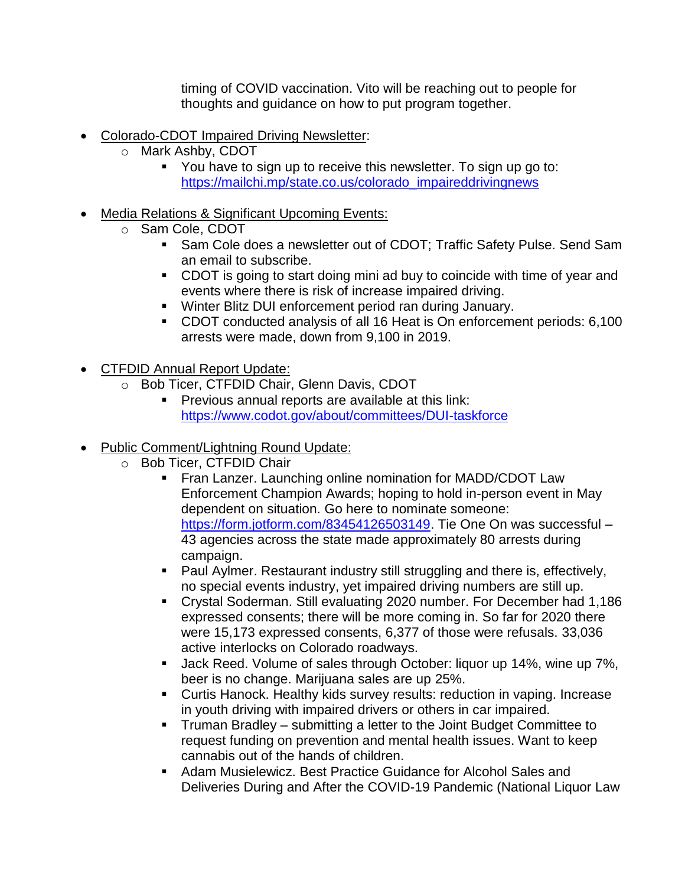timing of COVID vaccination. Vito will be reaching out to people for thoughts and guidance on how to put program together.

- Colorado-CDOT Impaired Driving Newsletter:
	- o Mark Ashby, CDOT
		- You have to sign up to receive this newsletter. To sign up go to: [https://mailchi.mp/state.co.us/colorado\\_impaireddrivingnews](https://mailchi.mp/state.co.us/colorado_impaireddrivingnews)
- Media Relations & Significant Upcoming Events:
	- o Sam Cole, CDOT
		- Sam Cole does a newsletter out of CDOT; Traffic Safety Pulse. Send Sam an email to subscribe.
		- CDOT is going to start doing mini ad buy to coincide with time of year and events where there is risk of increase impaired driving.
		- Winter Blitz DUI enforcement period ran during January.
		- CDOT conducted analysis of all 16 Heat is On enforcement periods: 6,100 arrests were made, down from 9,100 in 2019.
- CTFDID Annual Report Update:
	- o Bob Ticer, CTFDID Chair, Glenn Davis, CDOT
		- Previous annual reports are available at this link: <https://www.codot.gov/about/committees/DUI-taskforce>
- Public Comment/Lightning Round Update:
	- o Bob Ticer, CTFDID Chair
		- **Example 1** Fran Lanzer. Launching online nomination for MADD/CDOT Law Enforcement Champion Awards; hoping to hold in-person event in May dependent on situation. Go here to nominate someone: [https://form.jotform.com/83454126503149.](https://form.jotform.com/83454126503149) Tie One On was successful -43 agencies across the state made approximately 80 arrests during campaign.
		- Paul Aylmer. Restaurant industry still struggling and there is, effectively, no special events industry, yet impaired driving numbers are still up.
		- Crystal Soderman. Still evaluating 2020 number. For December had 1,186 expressed consents; there will be more coming in. So far for 2020 there were 15,173 expressed consents, 6,377 of those were refusals. 33,036 active interlocks on Colorado roadways.
		- Jack Reed. Volume of sales through October: liquor up 14%, wine up 7%, beer is no change. Marijuana sales are up 25%.
		- Curtis Hanock. Healthy kids survey results: reduction in vaping. Increase in youth driving with impaired drivers or others in car impaired.
		- Truman Bradley submitting a letter to the Joint Budget Committee to request funding on prevention and mental health issues. Want to keep cannabis out of the hands of children.
		- Adam Musielewicz. Best Practice Guidance for Alcohol Sales and Deliveries During and After the COVID-19 Pandemic (National Liquor Law